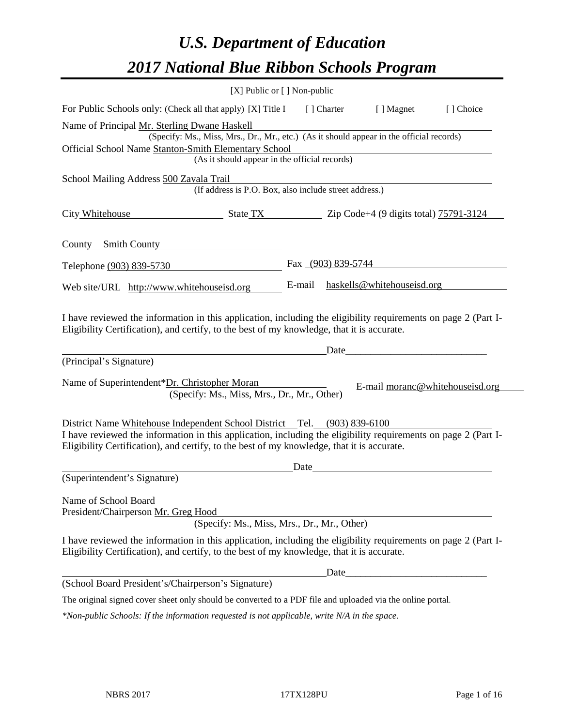# *U.S. Department of Education 2017 National Blue Ribbon Schools Program*

|                                                                                                                                                                                                                                                                                          | [X] Public or [] Non-public |                                 |           |
|------------------------------------------------------------------------------------------------------------------------------------------------------------------------------------------------------------------------------------------------------------------------------------------|-----------------------------|---------------------------------|-----------|
| For Public Schools only: (Check all that apply) [X] Title I                                                                                                                                                                                                                              | [ ] Charter                 | [ ] Magnet                      | [] Choice |
| Name of Principal Mr. Sterling Dwane Haskell                                                                                                                                                                                                                                             |                             |                                 |           |
| (Specify: Ms., Miss, Mrs., Dr., Mr., etc.) (As it should appear in the official records)                                                                                                                                                                                                 |                             |                                 |           |
| Official School Name Stanton-Smith Elementary School<br>(As it should appear in the official records)                                                                                                                                                                                    |                             |                                 |           |
|                                                                                                                                                                                                                                                                                          |                             |                                 |           |
| School Mailing Address 500 Zavala Trail<br>(If address is P.O. Box, also include street address.)                                                                                                                                                                                        |                             |                                 |           |
| City Whitehouse<br>$\frac{1}{2}$ State TX $\frac{1}{2}$ Zip Code+4 (9 digits total) $\frac{75791-3124}{2}$                                                                                                                                                                               |                             |                                 |           |
| County Smith County                                                                                                                                                                                                                                                                      |                             |                                 |           |
| Telephone (903) 839-5730                                                                                                                                                                                                                                                                 | Fax (903) 839-5744          |                                 |           |
| Web site/URL http://www.whitehouseisd.org                                                                                                                                                                                                                                                | E-mail                      | haskells@whitehouseisd.org      |           |
| I have reviewed the information in this application, including the eligibility requirements on page 2 (Part I-<br>Eligibility Certification), and certify, to the best of my knowledge, that it is accurate.<br>(Principal's Signature)                                                  | Date                        |                                 |           |
| Name of Superintendent*Dr. Christopher Moran<br>(Specify: Ms., Miss, Mrs., Dr., Mr., Other)                                                                                                                                                                                              |                             | E-mail moranc@whitehouseisd.org |           |
| District Name Whitehouse Independent School District Tel. (903) 839-6100<br>I have reviewed the information in this application, including the eligibility requirements on page 2 (Part I-<br>Eligibility Certification), and certify, to the best of my knowledge, that it is accurate. |                             |                                 |           |
| (Superintendent's Signature)                                                                                                                                                                                                                                                             | Date                        |                                 |           |
| Name of School Board<br>President/Chairperson Mr. Greg Hood<br>(Specify: Ms., Miss, Mrs., Dr., Mr., Other)                                                                                                                                                                               |                             |                                 |           |
| I have reviewed the information in this application, including the eligibility requirements on page 2 (Part I-<br>Eligibility Certification), and certify, to the best of my knowledge, that it is accurate.                                                                             |                             |                                 |           |
|                                                                                                                                                                                                                                                                                          | Date                        |                                 |           |
| (School Board President's/Chairperson's Signature)                                                                                                                                                                                                                                       |                             |                                 |           |
| The original signed cover sheet only should be converted to a PDF file and uploaded via the online portal.                                                                                                                                                                               |                             |                                 |           |
| $*$ Non-public Schools: If the information requested is not applicable, write $N/A$ in the space.                                                                                                                                                                                        |                             |                                 |           |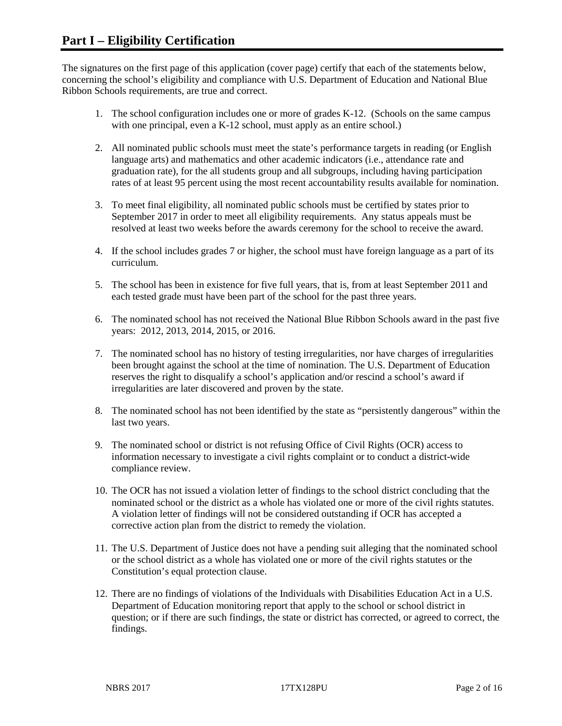The signatures on the first page of this application (cover page) certify that each of the statements below, concerning the school's eligibility and compliance with U.S. Department of Education and National Blue Ribbon Schools requirements, are true and correct.

- 1. The school configuration includes one or more of grades K-12. (Schools on the same campus with one principal, even a K-12 school, must apply as an entire school.)
- 2. All nominated public schools must meet the state's performance targets in reading (or English language arts) and mathematics and other academic indicators (i.e., attendance rate and graduation rate), for the all students group and all subgroups, including having participation rates of at least 95 percent using the most recent accountability results available for nomination.
- 3. To meet final eligibility, all nominated public schools must be certified by states prior to September 2017 in order to meet all eligibility requirements. Any status appeals must be resolved at least two weeks before the awards ceremony for the school to receive the award.
- 4. If the school includes grades 7 or higher, the school must have foreign language as a part of its curriculum.
- 5. The school has been in existence for five full years, that is, from at least September 2011 and each tested grade must have been part of the school for the past three years.
- 6. The nominated school has not received the National Blue Ribbon Schools award in the past five years: 2012, 2013, 2014, 2015, or 2016.
- 7. The nominated school has no history of testing irregularities, nor have charges of irregularities been brought against the school at the time of nomination. The U.S. Department of Education reserves the right to disqualify a school's application and/or rescind a school's award if irregularities are later discovered and proven by the state.
- 8. The nominated school has not been identified by the state as "persistently dangerous" within the last two years.
- 9. The nominated school or district is not refusing Office of Civil Rights (OCR) access to information necessary to investigate a civil rights complaint or to conduct a district-wide compliance review.
- 10. The OCR has not issued a violation letter of findings to the school district concluding that the nominated school or the district as a whole has violated one or more of the civil rights statutes. A violation letter of findings will not be considered outstanding if OCR has accepted a corrective action plan from the district to remedy the violation.
- 11. The U.S. Department of Justice does not have a pending suit alleging that the nominated school or the school district as a whole has violated one or more of the civil rights statutes or the Constitution's equal protection clause.
- 12. There are no findings of violations of the Individuals with Disabilities Education Act in a U.S. Department of Education monitoring report that apply to the school or school district in question; or if there are such findings, the state or district has corrected, or agreed to correct, the findings.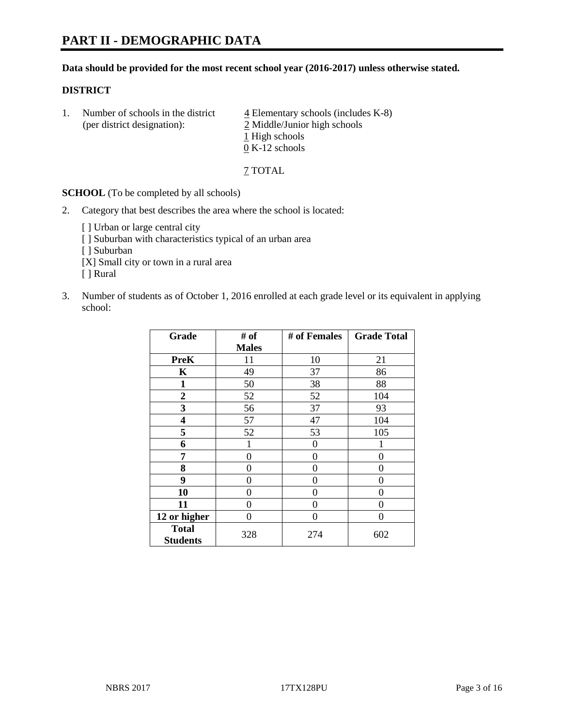#### **Data should be provided for the most recent school year (2016-2017) unless otherwise stated.**

## **DISTRICT**

1. Number of schools in the district  $\frac{4}{4}$  Elementary schools (includes K-8) (per district designation): 2 Middle/Junior high schools 1 High schools 0 K-12 schools

7 TOTAL

**SCHOOL** (To be completed by all schools)

- 2. Category that best describes the area where the school is located:
	- [] Urban or large central city [ ] Suburban with characteristics typical of an urban area [ ] Suburban [X] Small city or town in a rural area [ ] Rural
- 3. Number of students as of October 1, 2016 enrolled at each grade level or its equivalent in applying school:

| Grade                           | # of         | # of Females | <b>Grade Total</b> |
|---------------------------------|--------------|--------------|--------------------|
|                                 | <b>Males</b> |              |                    |
| <b>PreK</b>                     | 11           | 10           | 21                 |
| K                               | 49           | 37           | 86                 |
| $\mathbf{1}$                    | 50           | 38           | 88                 |
| $\overline{2}$                  | 52           | 52           | 104                |
| 3                               | 56           | 37           | 93                 |
| 4                               | 57           | 47           | 104                |
| 5                               | 52           | 53           | 105                |
| 6                               |              | 0            |                    |
| 7                               | 0            | 0            | 0                  |
| 8                               | $\theta$     | 0            | 0                  |
| 9                               | 0            | 0            | 0                  |
| 10                              | $\theta$     | 0            | 0                  |
| 11                              | 0            | 0            | 0                  |
| 12 or higher                    | 0            | 0            | 0                  |
| <b>Total</b><br><b>Students</b> | 328          | 274          | 602                |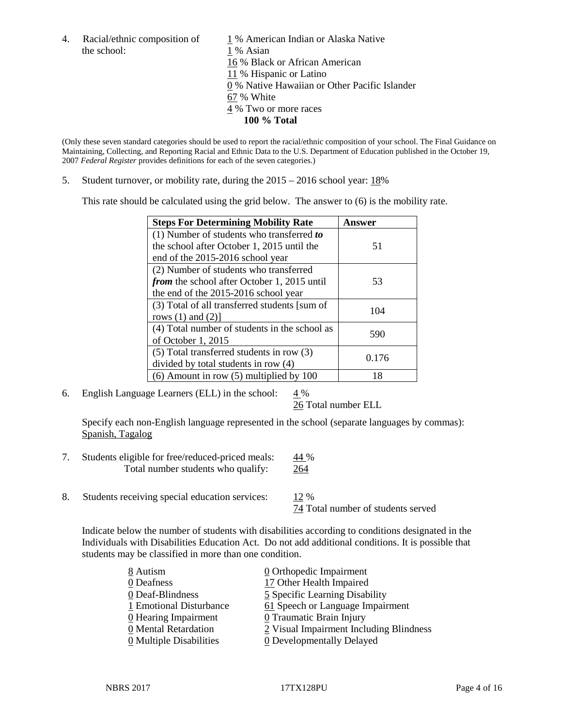the school: 1 % Asian

4. Racial/ethnic composition of  $1\%$  American Indian or Alaska Native 16 % Black or African American 11 % Hispanic or Latino 0 % Native Hawaiian or Other Pacific Islander 67 % White 4 % Two or more races **100 % Total**

(Only these seven standard categories should be used to report the racial/ethnic composition of your school. The Final Guidance on Maintaining, Collecting, and Reporting Racial and Ethnic Data to the U.S. Department of Education published in the October 19, 2007 *Federal Register* provides definitions for each of the seven categories.)

5. Student turnover, or mobility rate, during the 2015 – 2016 school year: 18%

This rate should be calculated using the grid below. The answer to (6) is the mobility rate.

| <b>Steps For Determining Mobility Rate</b>         | Answer |  |
|----------------------------------------------------|--------|--|
| (1) Number of students who transferred to          |        |  |
| the school after October 1, 2015 until the         | 51     |  |
| end of the 2015-2016 school year                   |        |  |
| (2) Number of students who transferred             |        |  |
| <i>from</i> the school after October 1, 2015 until | 53     |  |
| the end of the 2015-2016 school year               |        |  |
| (3) Total of all transferred students [sum of      | 104    |  |
| rows $(1)$ and $(2)$ ]                             |        |  |
| (4) Total number of students in the school as      | 590    |  |
| of October 1, 2015                                 |        |  |
| (5) Total transferred students in row (3)          |        |  |
| divided by total students in row (4)               | 0.176  |  |
| $(6)$ Amount in row $(5)$ multiplied by 100        | 18     |  |

6. English Language Learners (ELL) in the school:  $4\%$ 

26 Total number ELL

Specify each non-English language represented in the school (separate languages by commas): Spanish, Tagalog

- 7. Students eligible for free/reduced-priced meals: 44 % Total number students who qualify: 264
- 8. Students receiving special education services: 12 %

74 Total number of students served

Indicate below the number of students with disabilities according to conditions designated in the Individuals with Disabilities Education Act. Do not add additional conditions. It is possible that students may be classified in more than one condition.

| 8 Autism                              | $\underline{0}$ Orthopedic Impairment   |
|---------------------------------------|-----------------------------------------|
| 0 Deafness                            | 17 Other Health Impaired                |
| 0 Deaf-Blindness                      | 5 Specific Learning Disability          |
| 1 Emotional Disturbance               | 61 Speech or Language Impairment        |
| $\underline{0}$ Hearing Impairment    | 0 Traumatic Brain Injury                |
| 0 Mental Retardation                  | 2 Visual Impairment Including Blindness |
| $\underline{0}$ Multiple Disabilities | <b>0</b> Developmentally Delayed        |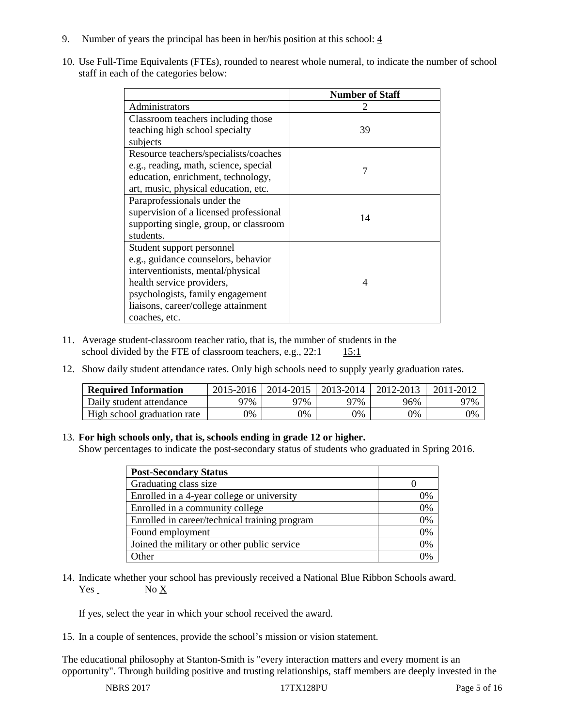- 9. Number of years the principal has been in her/his position at this school:  $\frac{4}{3}$
- 10. Use Full-Time Equivalents (FTEs), rounded to nearest whole numeral, to indicate the number of school staff in each of the categories below:

|                                        | <b>Number of Staff</b>   |
|----------------------------------------|--------------------------|
| Administrators                         |                          |
| Classroom teachers including those     |                          |
| teaching high school specialty         | 39                       |
| subjects                               |                          |
| Resource teachers/specialists/coaches  |                          |
| e.g., reading, math, science, special  | 7                        |
| education, enrichment, technology,     |                          |
| art, music, physical education, etc.   |                          |
| Paraprofessionals under the            |                          |
| supervision of a licensed professional | 14                       |
| supporting single, group, or classroom |                          |
| students.                              |                          |
| Student support personnel              |                          |
| e.g., guidance counselors, behavior    |                          |
| interventionists, mental/physical      |                          |
| health service providers,              | $\boldsymbol{\varDelta}$ |
| psychologists, family engagement       |                          |
| liaisons, career/college attainment    |                          |
| coaches, etc.                          |                          |

- 11. Average student-classroom teacher ratio, that is, the number of students in the school divided by the FTE of classroom teachers, e.g.,  $22:1$  15:1
- 12. Show daily student attendance rates. Only high schools need to supply yearly graduation rates.

| <b>Required Information</b> | 2015-2016 | 2014-2015 | 2013-2014 | 2012-2013 |     |
|-----------------------------|-----------|-----------|-----------|-----------|-----|
| Daily student attendance    | า7%       | 97%       | 97%       | 96%       | 97% |
| High school graduation rate | 0%        | 0%        | 0%        | 9%        | 0%  |

#### 13. **For high schools only, that is, schools ending in grade 12 or higher.**

Show percentages to indicate the post-secondary status of students who graduated in Spring 2016.

| <b>Post-Secondary Status</b>                  |    |
|-----------------------------------------------|----|
| Graduating class size                         |    |
| Enrolled in a 4-year college or university    | 0% |
| Enrolled in a community college               | 0% |
| Enrolled in career/technical training program | 0% |
| Found employment                              | 0% |
| Joined the military or other public service   | 0% |
| )ther                                         |    |

14. Indicate whether your school has previously received a National Blue Ribbon Schools award. Yes No X

If yes, select the year in which your school received the award.

15. In a couple of sentences, provide the school's mission or vision statement.

The educational philosophy at Stanton-Smith is "every interaction matters and every moment is an opportunity". Through building positive and trusting relationships, staff members are deeply invested in the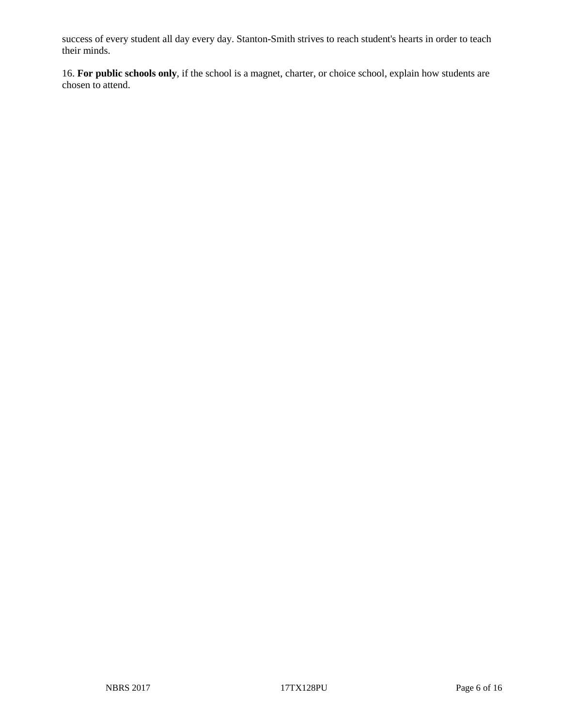success of every student all day every day. Stanton-Smith strives to reach student's hearts in order to teach their minds.

16. **For public schools only**, if the school is a magnet, charter, or choice school, explain how students are chosen to attend.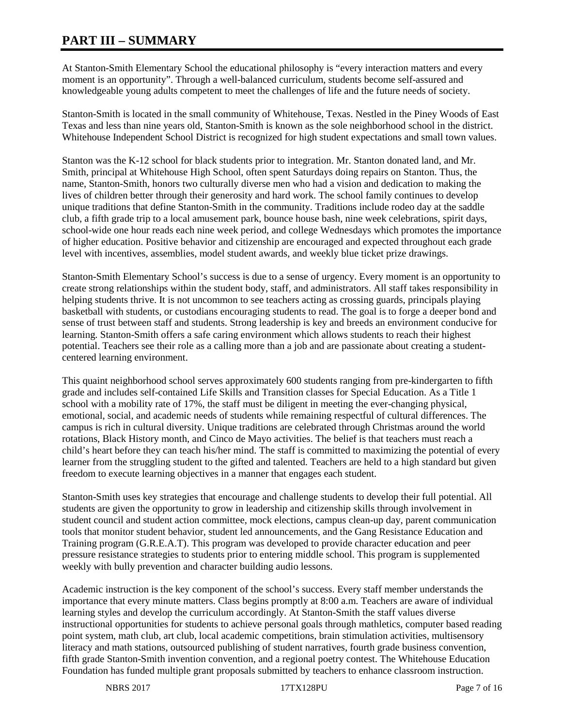# **PART III – SUMMARY**

At Stanton-Smith Elementary School the educational philosophy is "every interaction matters and every moment is an opportunity". Through a well-balanced curriculum, students become self-assured and knowledgeable young adults competent to meet the challenges of life and the future needs of society.

Stanton-Smith is located in the small community of Whitehouse, Texas. Nestled in the Piney Woods of East Texas and less than nine years old, Stanton-Smith is known as the sole neighborhood school in the district. Whitehouse Independent School District is recognized for high student expectations and small town values.

Stanton was the K-12 school for black students prior to integration. Mr. Stanton donated land, and Mr. Smith, principal at Whitehouse High School, often spent Saturdays doing repairs on Stanton. Thus, the name, Stanton-Smith, honors two culturally diverse men who had a vision and dedication to making the lives of children better through their generosity and hard work. The school family continues to develop unique traditions that define Stanton-Smith in the community. Traditions include rodeo day at the saddle club, a fifth grade trip to a local amusement park, bounce house bash, nine week celebrations, spirit days, school-wide one hour reads each nine week period, and college Wednesdays which promotes the importance of higher education. Positive behavior and citizenship are encouraged and expected throughout each grade level with incentives, assemblies, model student awards, and weekly blue ticket prize drawings.

Stanton-Smith Elementary School's success is due to a sense of urgency. Every moment is an opportunity to create strong relationships within the student body, staff, and administrators. All staff takes responsibility in helping students thrive. It is not uncommon to see teachers acting as crossing guards, principals playing basketball with students, or custodians encouraging students to read. The goal is to forge a deeper bond and sense of trust between staff and students. Strong leadership is key and breeds an environment conducive for learning. Stanton-Smith offers a safe caring environment which allows students to reach their highest potential. Teachers see their role as a calling more than a job and are passionate about creating a studentcentered learning environment.

This quaint neighborhood school serves approximately 600 students ranging from pre-kindergarten to fifth grade and includes self-contained Life Skills and Transition classes for Special Education. As a Title 1 school with a mobility rate of 17%, the staff must be diligent in meeting the ever-changing physical, emotional, social, and academic needs of students while remaining respectful of cultural differences. The campus is rich in cultural diversity. Unique traditions are celebrated through Christmas around the world rotations, Black History month, and Cinco de Mayo activities. The belief is that teachers must reach a child's heart before they can teach his/her mind. The staff is committed to maximizing the potential of every learner from the struggling student to the gifted and talented. Teachers are held to a high standard but given freedom to execute learning objectives in a manner that engages each student.

Stanton-Smith uses key strategies that encourage and challenge students to develop their full potential. All students are given the opportunity to grow in leadership and citizenship skills through involvement in student council and student action committee, mock elections, campus clean-up day, parent communication tools that monitor student behavior, student led announcements, and the Gang Resistance Education and Training program (G.R.E.A.T). This program was developed to provide character education and peer pressure resistance strategies to students prior to entering middle school. This program is supplemented weekly with bully prevention and character building audio lessons.

Academic instruction is the key component of the school's success. Every staff member understands the importance that every minute matters. Class begins promptly at 8:00 a.m. Teachers are aware of individual learning styles and develop the curriculum accordingly. At Stanton-Smith the staff values diverse instructional opportunities for students to achieve personal goals through mathletics, computer based reading point system, math club, art club, local academic competitions, brain stimulation activities, multisensory literacy and math stations, outsourced publishing of student narratives, fourth grade business convention, fifth grade Stanton-Smith invention convention, and a regional poetry contest. The Whitehouse Education Foundation has funded multiple grant proposals submitted by teachers to enhance classroom instruction.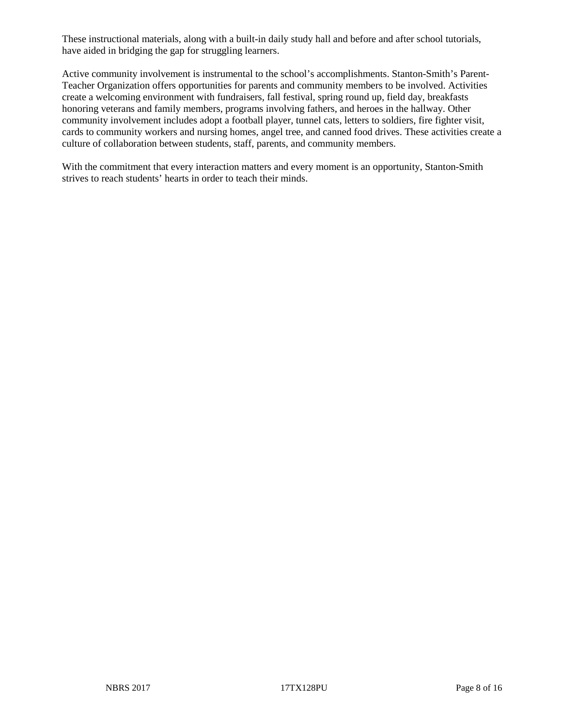These instructional materials, along with a built-in daily study hall and before and after school tutorials, have aided in bridging the gap for struggling learners.

Active community involvement is instrumental to the school's accomplishments. Stanton-Smith's Parent-Teacher Organization offers opportunities for parents and community members to be involved. Activities create a welcoming environment with fundraisers, fall festival, spring round up, field day, breakfasts honoring veterans and family members, programs involving fathers, and heroes in the hallway. Other community involvement includes adopt a football player, tunnel cats, letters to soldiers, fire fighter visit, cards to community workers and nursing homes, angel tree, and canned food drives. These activities create a culture of collaboration between students, staff, parents, and community members.

With the commitment that every interaction matters and every moment is an opportunity, Stanton-Smith strives to reach students' hearts in order to teach their minds.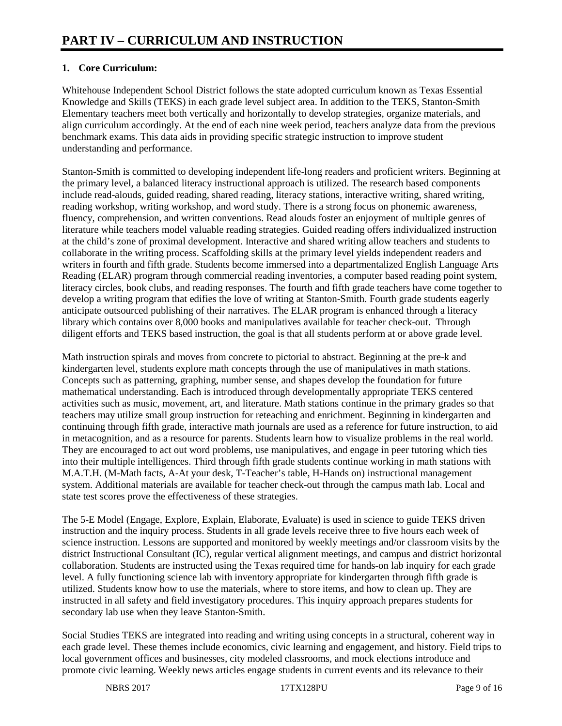# **1. Core Curriculum:**

Whitehouse Independent School District follows the state adopted curriculum known as Texas Essential Knowledge and Skills (TEKS) in each grade level subject area. In addition to the TEKS, Stanton-Smith Elementary teachers meet both vertically and horizontally to develop strategies, organize materials, and align curriculum accordingly. At the end of each nine week period, teachers analyze data from the previous benchmark exams. This data aids in providing specific strategic instruction to improve student understanding and performance.

Stanton-Smith is committed to developing independent life-long readers and proficient writers. Beginning at the primary level, a balanced literacy instructional approach is utilized. The research based components include read-alouds, guided reading, shared reading, literacy stations, interactive writing, shared writing, reading workshop, writing workshop, and word study. There is a strong focus on phonemic awareness, fluency, comprehension, and written conventions. Read alouds foster an enjoyment of multiple genres of literature while teachers model valuable reading strategies. Guided reading offers individualized instruction at the child's zone of proximal development. Interactive and shared writing allow teachers and students to collaborate in the writing process. Scaffolding skills at the primary level yields independent readers and writers in fourth and fifth grade. Students become immersed into a departmentalized English Language Arts Reading (ELAR) program through commercial reading inventories, a computer based reading point system, literacy circles, book clubs, and reading responses. The fourth and fifth grade teachers have come together to develop a writing program that edifies the love of writing at Stanton-Smith. Fourth grade students eagerly anticipate outsourced publishing of their narratives. The ELAR program is enhanced through a literacy library which contains over 8,000 books and manipulatives available for teacher check-out. Through diligent efforts and TEKS based instruction, the goal is that all students perform at or above grade level.

Math instruction spirals and moves from concrete to pictorial to abstract. Beginning at the pre-k and kindergarten level, students explore math concepts through the use of manipulatives in math stations. Concepts such as patterning, graphing, number sense, and shapes develop the foundation for future mathematical understanding. Each is introduced through developmentally appropriate TEKS centered activities such as music, movement, art, and literature. Math stations continue in the primary grades so that teachers may utilize small group instruction for reteaching and enrichment. Beginning in kindergarten and continuing through fifth grade, interactive math journals are used as a reference for future instruction, to aid in metacognition, and as a resource for parents. Students learn how to visualize problems in the real world. They are encouraged to act out word problems, use manipulatives, and engage in peer tutoring which ties into their multiple intelligences. Third through fifth grade students continue working in math stations with M.A.T.H. (M-Math facts, A-At your desk, T-Teacher's table, H-Hands on) instructional management system. Additional materials are available for teacher check-out through the campus math lab. Local and state test scores prove the effectiveness of these strategies.

The 5-E Model (Engage, Explore, Explain, Elaborate, Evaluate) is used in science to guide TEKS driven instruction and the inquiry process. Students in all grade levels receive three to five hours each week of science instruction. Lessons are supported and monitored by weekly meetings and/or classroom visits by the district Instructional Consultant (IC), regular vertical alignment meetings, and campus and district horizontal collaboration. Students are instructed using the Texas required time for hands-on lab inquiry for each grade level. A fully functioning science lab with inventory appropriate for kindergarten through fifth grade is utilized. Students know how to use the materials, where to store items, and how to clean up. They are instructed in all safety and field investigatory procedures. This inquiry approach prepares students for secondary lab use when they leave Stanton-Smith.

Social Studies TEKS are integrated into reading and writing using concepts in a structural, coherent way in each grade level. These themes include economics, civic learning and engagement, and history. Field trips to local government offices and businesses, city modeled classrooms, and mock elections introduce and promote civic learning. Weekly news articles engage students in current events and its relevance to their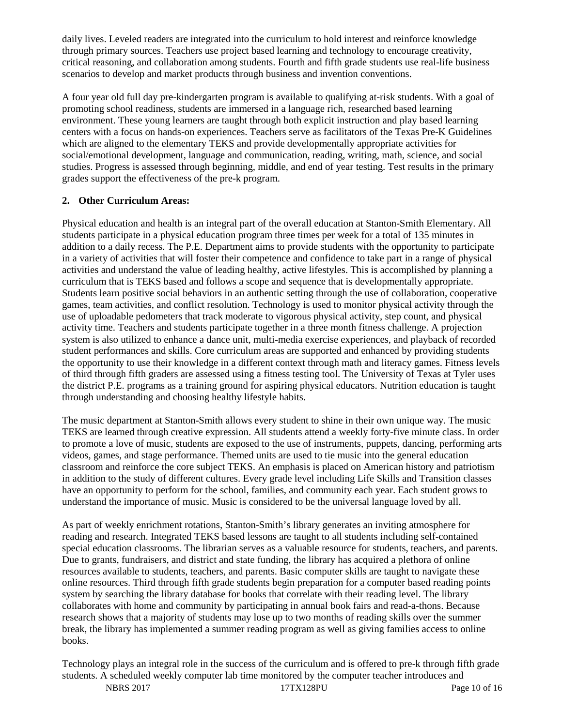daily lives. Leveled readers are integrated into the curriculum to hold interest and reinforce knowledge through primary sources. Teachers use project based learning and technology to encourage creativity, critical reasoning, and collaboration among students. Fourth and fifth grade students use real-life business scenarios to develop and market products through business and invention conventions.

A four year old full day pre-kindergarten program is available to qualifying at-risk students. With a goal of promoting school readiness, students are immersed in a language rich, researched based learning environment. These young learners are taught through both explicit instruction and play based learning centers with a focus on hands-on experiences. Teachers serve as facilitators of the Texas Pre-K Guidelines which are aligned to the elementary TEKS and provide developmentally appropriate activities for social/emotional development, language and communication, reading, writing, math, science, and social studies. Progress is assessed through beginning, middle, and end of year testing. Test results in the primary grades support the effectiveness of the pre-k program.

## **2. Other Curriculum Areas:**

Physical education and health is an integral part of the overall education at Stanton-Smith Elementary. All students participate in a physical education program three times per week for a total of 135 minutes in addition to a daily recess. The P.E. Department aims to provide students with the opportunity to participate in a variety of activities that will foster their competence and confidence to take part in a range of physical activities and understand the value of leading healthy, active lifestyles. This is accomplished by planning a curriculum that is TEKS based and follows a scope and sequence that is developmentally appropriate. Students learn positive social behaviors in an authentic setting through the use of collaboration, cooperative games, team activities, and conflict resolution. Technology is used to monitor physical activity through the use of uploadable pedometers that track moderate to vigorous physical activity, step count, and physical activity time. Teachers and students participate together in a three month fitness challenge. A projection system is also utilized to enhance a dance unit, multi-media exercise experiences, and playback of recorded student performances and skills. Core curriculum areas are supported and enhanced by providing students the opportunity to use their knowledge in a different context through math and literacy games. Fitness levels of third through fifth graders are assessed using a fitness testing tool. The University of Texas at Tyler uses the district P.E. programs as a training ground for aspiring physical educators. Nutrition education is taught through understanding and choosing healthy lifestyle habits.

The music department at Stanton-Smith allows every student to shine in their own unique way. The music TEKS are learned through creative expression. All students attend a weekly forty-five minute class. In order to promote a love of music, students are exposed to the use of instruments, puppets, dancing, performing arts videos, games, and stage performance. Themed units are used to tie music into the general education classroom and reinforce the core subject TEKS. An emphasis is placed on American history and patriotism in addition to the study of different cultures. Every grade level including Life Skills and Transition classes have an opportunity to perform for the school, families, and community each year. Each student grows to understand the importance of music. Music is considered to be the universal language loved by all.

As part of weekly enrichment rotations, Stanton-Smith's library generates an inviting atmosphere for reading and research. Integrated TEKS based lessons are taught to all students including self-contained special education classrooms. The librarian serves as a valuable resource for students, teachers, and parents. Due to grants, fundraisers, and district and state funding, the library has acquired a plethora of online resources available to students, teachers, and parents. Basic computer skills are taught to navigate these online resources. Third through fifth grade students begin preparation for a computer based reading points system by searching the library database for books that correlate with their reading level. The library collaborates with home and community by participating in annual book fairs and read-a-thons. Because research shows that a majority of students may lose up to two months of reading skills over the summer break, the library has implemented a summer reading program as well as giving families access to online books.

Technology plays an integral role in the success of the curriculum and is offered to pre-k through fifth grade students. A scheduled weekly computer lab time monitored by the computer teacher introduces and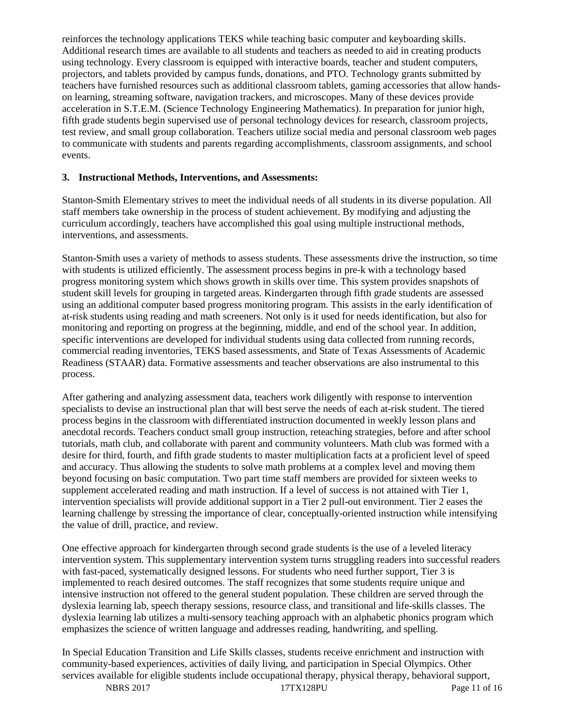reinforces the technology applications TEKS while teaching basic computer and keyboarding skills. Additional research times are available to all students and teachers as needed to aid in creating products using technology. Every classroom is equipped with interactive boards, teacher and student computers, projectors, and tablets provided by campus funds, donations, and PTO. Technology grants submitted by teachers have furnished resources such as additional classroom tablets, gaming accessories that allow handson learning, streaming software, navigation trackers, and microscopes. Many of these devices provide acceleration in S.T.E.M. (Science Technology Engineering Mathematics). In preparation for junior high, fifth grade students begin supervised use of personal technology devices for research, classroom projects, test review, and small group collaboration. Teachers utilize social media and personal classroom web pages to communicate with students and parents regarding accomplishments, classroom assignments, and school events.

#### **3. Instructional Methods, Interventions, and Assessments:**

Stanton-Smith Elementary strives to meet the individual needs of all students in its diverse population. All staff members take ownership in the process of student achievement. By modifying and adjusting the curriculum accordingly, teachers have accomplished this goal using multiple instructional methods, interventions, and assessments.

Stanton-Smith uses a variety of methods to assess students. These assessments drive the instruction, so time with students is utilized efficiently. The assessment process begins in pre-k with a technology based progress monitoring system which shows growth in skills over time. This system provides snapshots of student skill levels for grouping in targeted areas. Kindergarten through fifth grade students are assessed using an additional computer based progress monitoring program. This assists in the early identification of at-risk students using reading and math screeners. Not only is it used for needs identification, but also for monitoring and reporting on progress at the beginning, middle, and end of the school year. In addition, specific interventions are developed for individual students using data collected from running records, commercial reading inventories, TEKS based assessments, and State of Texas Assessments of Academic Readiness (STAAR) data. Formative assessments and teacher observations are also instrumental to this process.

After gathering and analyzing assessment data, teachers work diligently with response to intervention specialists to devise an instructional plan that will best serve the needs of each at-risk student. The tiered process begins in the classroom with differentiated instruction documented in weekly lesson plans and anecdotal records. Teachers conduct small group instruction, reteaching strategies, before and after school tutorials, math club, and collaborate with parent and community volunteers. Math club was formed with a desire for third, fourth, and fifth grade students to master multiplication facts at a proficient level of speed and accuracy. Thus allowing the students to solve math problems at a complex level and moving them beyond focusing on basic computation. Two part time staff members are provided for sixteen weeks to supplement accelerated reading and math instruction. If a level of success is not attained with Tier 1, intervention specialists will provide additional support in a Tier 2 pull-out environment. Tier 2 eases the learning challenge by stressing the importance of clear, conceptually-oriented instruction while intensifying the value of drill, practice, and review.

One effective approach for kindergarten through second grade students is the use of a leveled literacy intervention system. This supplementary intervention system turns struggling readers into successful readers with fast-paced, systematically designed lessons. For students who need further support, Tier 3 is implemented to reach desired outcomes. The staff recognizes that some students require unique and intensive instruction not offered to the general student population. These children are served through the dyslexia learning lab, speech therapy sessions, resource class, and transitional and life-skills classes. The dyslexia learning lab utilizes a multi-sensory teaching approach with an alphabetic phonics program which emphasizes the science of written language and addresses reading, handwriting, and spelling.

In Special Education Transition and Life Skills classes, students receive enrichment and instruction with community-based experiences, activities of daily living, and participation in Special Olympics. Other services available for eligible students include occupational therapy, physical therapy, behavioral support,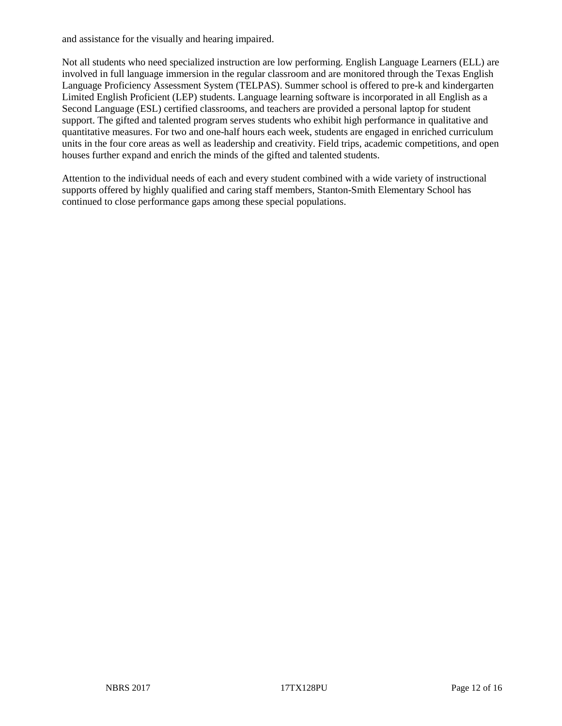and assistance for the visually and hearing impaired.

Not all students who need specialized instruction are low performing. English Language Learners (ELL) are involved in full language immersion in the regular classroom and are monitored through the Texas English Language Proficiency Assessment System (TELPAS). Summer school is offered to pre-k and kindergarten Limited English Proficient (LEP) students. Language learning software is incorporated in all English as a Second Language (ESL) certified classrooms, and teachers are provided a personal laptop for student support. The gifted and talented program serves students who exhibit high performance in qualitative and quantitative measures. For two and one-half hours each week, students are engaged in enriched curriculum units in the four core areas as well as leadership and creativity. Field trips, academic competitions, and open houses further expand and enrich the minds of the gifted and talented students.

Attention to the individual needs of each and every student combined with a wide variety of instructional supports offered by highly qualified and caring staff members, Stanton-Smith Elementary School has continued to close performance gaps among these special populations.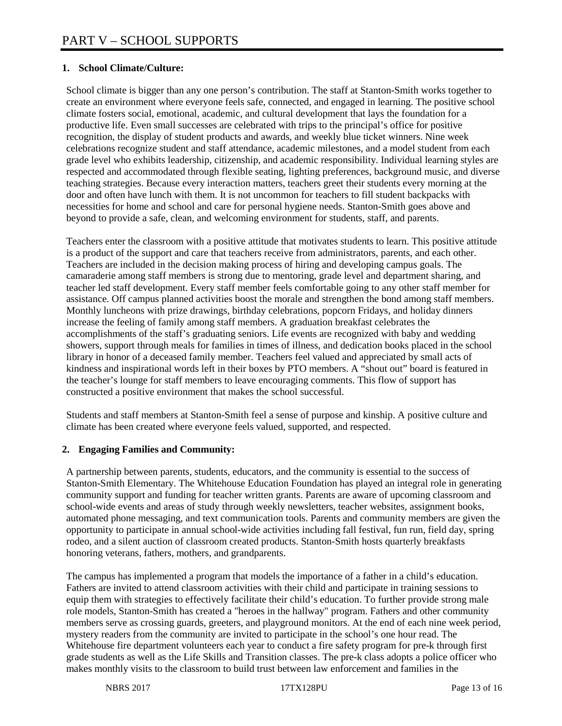## **1. School Climate/Culture:**

School climate is bigger than any one person's contribution. The staff at Stanton-Smith works together to create an environment where everyone feels safe, connected, and engaged in learning. The positive school climate fosters social, emotional, academic, and cultural development that lays the foundation for a productive life. Even small successes are celebrated with trips to the principal's office for positive recognition, the display of student products and awards, and weekly blue ticket winners. Nine week celebrations recognize student and staff attendance, academic milestones, and a model student from each grade level who exhibits leadership, citizenship, and academic responsibility. Individual learning styles are respected and accommodated through flexible seating, lighting preferences, background music, and diverse teaching strategies. Because every interaction matters, teachers greet their students every morning at the door and often have lunch with them. It is not uncommon for teachers to fill student backpacks with necessities for home and school and care for personal hygiene needs. Stanton-Smith goes above and beyond to provide a safe, clean, and welcoming environment for students, staff, and parents.

Teachers enter the classroom with a positive attitude that motivates students to learn. This positive attitude is a product of the support and care that teachers receive from administrators, parents, and each other. Teachers are included in the decision making process of hiring and developing campus goals. The camaraderie among staff members is strong due to mentoring, grade level and department sharing, and teacher led staff development. Every staff member feels comfortable going to any other staff member for assistance. Off campus planned activities boost the morale and strengthen the bond among staff members. Monthly luncheons with prize drawings, birthday celebrations, popcorn Fridays, and holiday dinners increase the feeling of family among staff members. A graduation breakfast celebrates the accomplishments of the staff's graduating seniors. Life events are recognized with baby and wedding showers, support through meals for families in times of illness, and dedication books placed in the school library in honor of a deceased family member. Teachers feel valued and appreciated by small acts of kindness and inspirational words left in their boxes by PTO members. A "shout out" board is featured in the teacher's lounge for staff members to leave encouraging comments. This flow of support has constructed a positive environment that makes the school successful.

Students and staff members at Stanton-Smith feel a sense of purpose and kinship. A positive culture and climate has been created where everyone feels valued, supported, and respected.

#### **2. Engaging Families and Community:**

A partnership between parents, students, educators, and the community is essential to the success of Stanton-Smith Elementary. The Whitehouse Education Foundation has played an integral role in generating community support and funding for teacher written grants. Parents are aware of upcoming classroom and school-wide events and areas of study through weekly newsletters, teacher websites, assignment books, automated phone messaging, and text communication tools. Parents and community members are given the opportunity to participate in annual school-wide activities including fall festival, fun run, field day, spring rodeo, and a silent auction of classroom created products. Stanton-Smith hosts quarterly breakfasts honoring veterans, fathers, mothers, and grandparents.

The campus has implemented a program that models the importance of a father in a child's education. Fathers are invited to attend classroom activities with their child and participate in training sessions to equip them with strategies to effectively facilitate their child's education. To further provide strong male role models, Stanton-Smith has created a "heroes in the hallway" program. Fathers and other community members serve as crossing guards, greeters, and playground monitors. At the end of each nine week period, mystery readers from the community are invited to participate in the school's one hour read. The Whitehouse fire department volunteers each year to conduct a fire safety program for pre-k through first grade students as well as the Life Skills and Transition classes. The pre-k class adopts a police officer who makes monthly visits to the classroom to build trust between law enforcement and families in the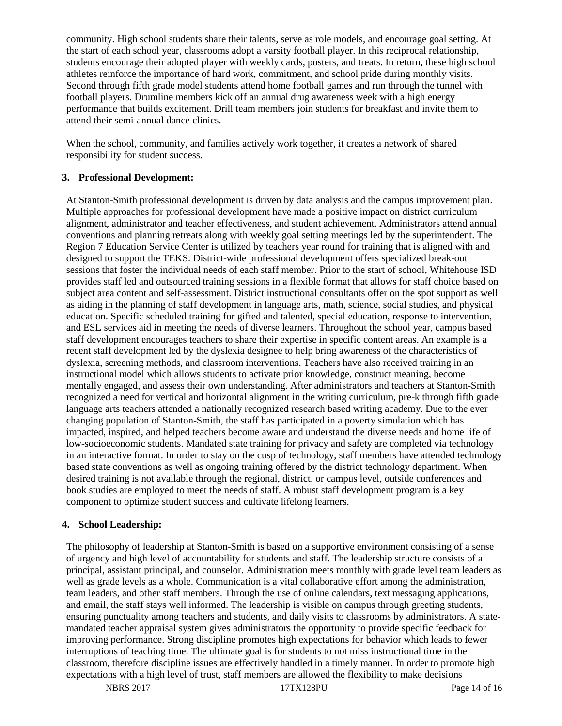community. High school students share their talents, serve as role models, and encourage goal setting. At the start of each school year, classrooms adopt a varsity football player. In this reciprocal relationship, students encourage their adopted player with weekly cards, posters, and treats. In return, these high school athletes reinforce the importance of hard work, commitment, and school pride during monthly visits. Second through fifth grade model students attend home football games and run through the tunnel with football players. Drumline members kick off an annual drug awareness week with a high energy performance that builds excitement. Drill team members join students for breakfast and invite them to attend their semi-annual dance clinics.

When the school, community, and families actively work together, it creates a network of shared responsibility for student success.

#### **3. Professional Development:**

At Stanton-Smith professional development is driven by data analysis and the campus improvement plan. Multiple approaches for professional development have made a positive impact on district curriculum alignment, administrator and teacher effectiveness, and student achievement. Administrators attend annual conventions and planning retreats along with weekly goal setting meetings led by the superintendent. The Region 7 Education Service Center is utilized by teachers year round for training that is aligned with and designed to support the TEKS. District-wide professional development offers specialized break-out sessions that foster the individual needs of each staff member. Prior to the start of school, Whitehouse ISD provides staff led and outsourced training sessions in a flexible format that allows for staff choice based on subject area content and self-assessment. District instructional consultants offer on the spot support as well as aiding in the planning of staff development in language arts, math, science, social studies, and physical education. Specific scheduled training for gifted and talented, special education, response to intervention, and ESL services aid in meeting the needs of diverse learners. Throughout the school year, campus based staff development encourages teachers to share their expertise in specific content areas. An example is a recent staff development led by the dyslexia designee to help bring awareness of the characteristics of dyslexia, screening methods, and classroom interventions. Teachers have also received training in an instructional model which allows students to activate prior knowledge, construct meaning, become mentally engaged, and assess their own understanding. After administrators and teachers at Stanton-Smith recognized a need for vertical and horizontal alignment in the writing curriculum, pre-k through fifth grade language arts teachers attended a nationally recognized research based writing academy. Due to the ever changing population of Stanton-Smith, the staff has participated in a poverty simulation which has impacted, inspired, and helped teachers become aware and understand the diverse needs and home life of low-socioeconomic students. Mandated state training for privacy and safety are completed via technology in an interactive format. In order to stay on the cusp of technology, staff members have attended technology based state conventions as well as ongoing training offered by the district technology department. When desired training is not available through the regional, district, or campus level, outside conferences and book studies are employed to meet the needs of staff. A robust staff development program is a key component to optimize student success and cultivate lifelong learners.

# **4. School Leadership:**

The philosophy of leadership at Stanton-Smith is based on a supportive environment consisting of a sense of urgency and high level of accountability for students and staff. The leadership structure consists of a principal, assistant principal, and counselor. Administration meets monthly with grade level team leaders as well as grade levels as a whole. Communication is a vital collaborative effort among the administration, team leaders, and other staff members. Through the use of online calendars, text messaging applications, and email, the staff stays well informed. The leadership is visible on campus through greeting students, ensuring punctuality among teachers and students, and daily visits to classrooms by administrators. A statemandated teacher appraisal system gives administrators the opportunity to provide specific feedback for improving performance. Strong discipline promotes high expectations for behavior which leads to fewer interruptions of teaching time. The ultimate goal is for students to not miss instructional time in the classroom, therefore discipline issues are effectively handled in a timely manner. In order to promote high expectations with a high level of trust, staff members are allowed the flexibility to make decisions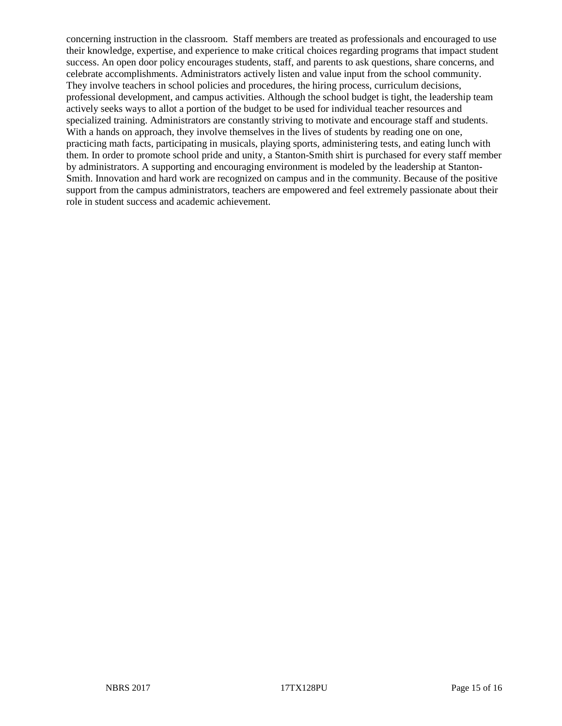concerning instruction in the classroom. Staff members are treated as professionals and encouraged to use their knowledge, expertise, and experience to make critical choices regarding programs that impact student success. An open door policy encourages students, staff, and parents to ask questions, share concerns, and celebrate accomplishments. Administrators actively listen and value input from the school community. They involve teachers in school policies and procedures, the hiring process, curriculum decisions, professional development, and campus activities. Although the school budget is tight, the leadership team actively seeks ways to allot a portion of the budget to be used for individual teacher resources and specialized training. Administrators are constantly striving to motivate and encourage staff and students. With a hands on approach, they involve themselves in the lives of students by reading one on one, practicing math facts, participating in musicals, playing sports, administering tests, and eating lunch with them. In order to promote school pride and unity, a Stanton-Smith shirt is purchased for every staff member by administrators. A supporting and encouraging environment is modeled by the leadership at Stanton-Smith. Innovation and hard work are recognized on campus and in the community. Because of the positive support from the campus administrators, teachers are empowered and feel extremely passionate about their role in student success and academic achievement.